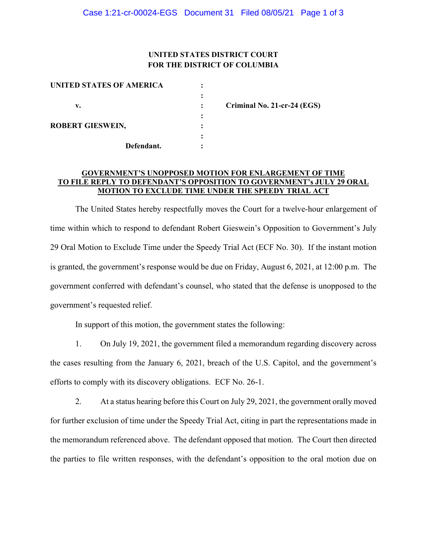## **UNITED STATES DISTRICT COURT FOR THE DISTRICT OF COLUMBIA**

| <b>UNITED STATES OF AMERICA</b> |  |
|---------------------------------|--|
|                                 |  |
| v.                              |  |
|                                 |  |
| <b>ROBERT GIESWEIN,</b>         |  |
|                                 |  |
| Defendant.                      |  |

 **v. : Criminal No. 21-cr-24 (EGS)** 

#### **GOVERNMENT'S UNOPPOSED MOTION FOR ENLARGEMENT OF TIME TO FILE REPLY TO DEFENDANT'S OPPOSITION TO GOVERNMENT's JULY 29 ORAL MOTION TO EXCLUDE TIME UNDER THE SPEEDY TRIAL ACT**

The United States hereby respectfully moves the Court for a twelve-hour enlargement of time within which to respond to defendant Robert Gieswein's Opposition to Government's July 29 Oral Motion to Exclude Time under the Speedy Trial Act (ECF No. 30). If the instant motion is granted, the government's response would be due on Friday, August 6, 2021, at 12:00 p.m. The government conferred with defendant's counsel, who stated that the defense is unopposed to the government's requested relief.

In support of this motion, the government states the following:

1. On July 19, 2021, the government filed a memorandum regarding discovery across the cases resulting from the January 6, 2021, breach of the U.S. Capitol, and the government's efforts to comply with its discovery obligations. ECF No. 26-1.

2. At a status hearing before this Court on July 29, 2021, the government orally moved for further exclusion of time under the Speedy Trial Act, citing in part the representations made in the memorandum referenced above. The defendant opposed that motion. The Court then directed the parties to file written responses, with the defendant's opposition to the oral motion due on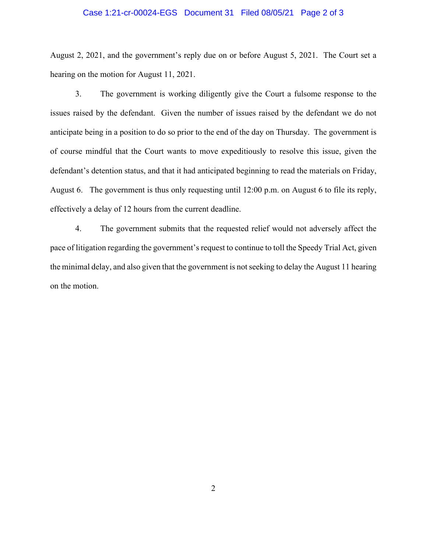#### Case 1:21-cr-00024-EGS Document 31 Filed 08/05/21 Page 2 of 3

August 2, 2021, and the government's reply due on or before August 5, 2021. The Court set a hearing on the motion for August 11, 2021.

3. The government is working diligently give the Court a fulsome response to the issues raised by the defendant. Given the number of issues raised by the defendant we do not anticipate being in a position to do so prior to the end of the day on Thursday. The government is of course mindful that the Court wants to move expeditiously to resolve this issue, given the defendant's detention status, and that it had anticipated beginning to read the materials on Friday, August 6. The government is thus only requesting until 12:00 p.m. on August 6 to file its reply, effectively a delay of 12 hours from the current deadline.

4. The government submits that the requested relief would not adversely affect the pace of litigation regarding the government's request to continue to toll the Speedy Trial Act, given the minimal delay, and also given that the government is not seeking to delay the August 11 hearing on the motion.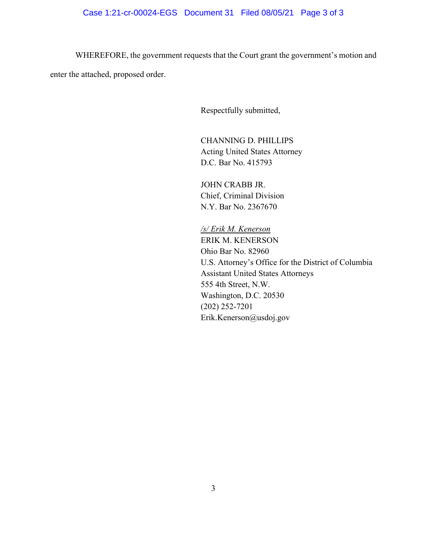# Case 1:21-cr-00024-EGS Document 31 Filed 08/05/21 Page 3 of 3

WHEREFORE, the government requests that the Court grant the government's motion and enter the attached, proposed order.

Respectfully submitted,

CHANNING D. PHILLIPS Acting United States Attorney D.C. Bar No. 415793

JOHN CRABB JR. Chief, Criminal Division N.Y. Bar No. 2367670

*/s/ Erik M. Kenerson*  ERIK M. KENERSON Ohio Bar No. 82960 U.S. Attorney's Office for the District of Columbia Assistant United States Attorneys 555 4th Street, N.W. Washington, D.C. 20530 (202) 252-7201 Erik.Kenerson@usdoj.gov